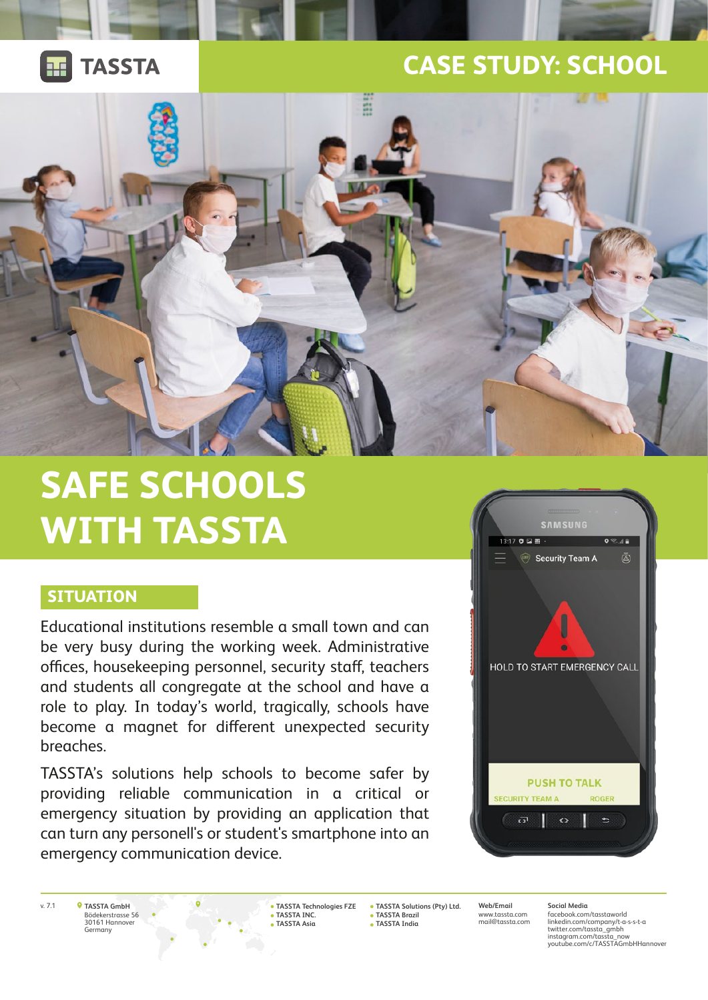

## **CASE STUDY: SCHOOL**



# **SAFE SCHOOLS WITH TASSTA**

## **SITUATION**

Educational institutions resemble a small town and can be very busy during the working week. Administrative offices, housekeeping personnel, security staff, teachers and students all congregate at the school and have a role to play. In today's world, tragically, schools have become a magnet for different unexpected security breaches.

TASSTA's solutions help schools to become safer by providing reliable communication in a critical or emergency situation by providing an application that can turn any personell's or student's smartphone into an emergency communication device.



**TASSTA GmbH** Bödekerstrasse 56 30161 Hannover Germany

**TASSTA Technologies FZE TASSTA INC. TASSTA Asia**

v. 7.1 **Web/Email TASSTA Solutions (Pty) Ltd. TASSTA Brazil TASSTA India**

www.tassta.com mail@tassta.com **Social Media** facebook.com/tasstaworld linkedin.com/company/t-a-s-s-t-a<br>twitter.com/tassta\_gmbh<br>instagram.com/tassta\_now<br>youtube.com/c/TASSTAGmbHHannover